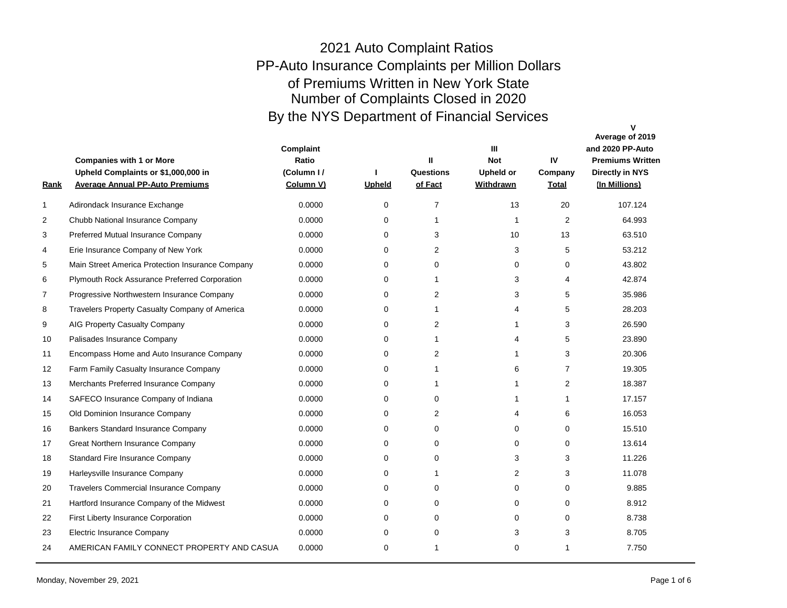| <u>Rank</u>  | <b>Companies with 1 or More</b><br>Upheld Complaints or \$1,000,000 in<br><b>Average Annual PP-Auto Premiums</b> | Complaint<br>Ratio<br>(Column I /<br>Column V) | <b>Upheld</b> | Ш<br>Questions<br>of Fact | $\mathbf{H}$<br><b>Not</b><br><b>Upheld or</b><br>Withdrawn | IV<br>Company<br><b>Total</b> | $\mathbf v$<br>Average of 2019<br>and 2020 PP-Auto<br><b>Premiums Written</b><br><b>Directly in NYS</b><br>(In Millions) |
|--------------|------------------------------------------------------------------------------------------------------------------|------------------------------------------------|---------------|---------------------------|-------------------------------------------------------------|-------------------------------|--------------------------------------------------------------------------------------------------------------------------|
| $\mathbf{1}$ | Adirondack Insurance Exchange                                                                                    | 0.0000                                         | $\Omega$      | $\overline{7}$            | 13                                                          | 20                            | 107.124                                                                                                                  |
| 2            | Chubb National Insurance Company                                                                                 | 0.0000                                         | $\Omega$      | 1                         | $\mathbf{1}$                                                | $\overline{2}$                | 64.993                                                                                                                   |
| 3            | Preferred Mutual Insurance Company                                                                               | 0.0000                                         | $\Omega$      | 3                         | 10                                                          | 13                            | 63.510                                                                                                                   |
| 4            | Erie Insurance Company of New York                                                                               | 0.0000                                         | $\Omega$      | 2                         | 3                                                           | 5                             | 53.212                                                                                                                   |
| 5            | Main Street America Protection Insurance Company                                                                 | 0.0000                                         | $\Omega$      | $\Omega$                  | $\mathbf 0$                                                 | $\Omega$                      | 43.802                                                                                                                   |
| 6            | Plymouth Rock Assurance Preferred Corporation                                                                    | 0.0000                                         | 0             | 1                         | 3                                                           | 4                             | 42.874                                                                                                                   |
| 7            | Progressive Northwestern Insurance Company                                                                       | 0.0000                                         | $\Omega$      | 2                         | 3                                                           | 5                             | 35.986                                                                                                                   |
| 8            | Travelers Property Casualty Company of America                                                                   | 0.0000                                         | 0             | 1                         | 4                                                           | 5                             | 28.203                                                                                                                   |
| 9            | AIG Property Casualty Company                                                                                    | 0.0000                                         | $\Omega$      | $\overline{2}$            | 1                                                           | 3                             | 26.590                                                                                                                   |
| 10           | Palisades Insurance Company                                                                                      | 0.0000                                         | $\Omega$      | 1                         | 4                                                           | 5                             | 23.890                                                                                                                   |
| 11           | Encompass Home and Auto Insurance Company                                                                        | 0.0000                                         | $\Omega$      | 2                         | 1                                                           | 3                             | 20.306                                                                                                                   |
| 12           | Farm Family Casualty Insurance Company                                                                           | 0.0000                                         | 0             | 1                         | 6                                                           | $\overline{7}$                | 19.305                                                                                                                   |
| 13           | Merchants Preferred Insurance Company                                                                            | 0.0000                                         | 0             | 1                         | $\mathbf{1}$                                                | 2                             | 18.387                                                                                                                   |
| 14           | SAFECO Insurance Company of Indiana                                                                              | 0.0000                                         | 0             | $\Omega$                  | $\mathbf{1}$                                                | 1                             | 17.157                                                                                                                   |
| 15           | Old Dominion Insurance Company                                                                                   | 0.0000                                         | $\Omega$      | 2                         | 4                                                           | 6                             | 16.053                                                                                                                   |
| 16           | Bankers Standard Insurance Company                                                                               | 0.0000                                         | $\Omega$      | $\Omega$                  | $\Omega$                                                    | $\Omega$                      | 15.510                                                                                                                   |
| 17           | Great Northern Insurance Company                                                                                 | 0.0000                                         | $\Omega$      | $\Omega$                  | $\Omega$                                                    | $\Omega$                      | 13.614                                                                                                                   |
| 18           | <b>Standard Fire Insurance Company</b>                                                                           | 0.0000                                         | $\Omega$      | $\Omega$                  | 3                                                           | 3                             | 11.226                                                                                                                   |
| 19           | Harleysville Insurance Company                                                                                   | 0.0000                                         | $\Omega$      | 1                         | $\overline{2}$                                              | 3                             | 11.078                                                                                                                   |
| 20           | <b>Travelers Commercial Insurance Company</b>                                                                    | 0.0000                                         | $\Omega$      | $\Omega$                  | $\Omega$                                                    | $\Omega$                      | 9.885                                                                                                                    |
| 21           | Hartford Insurance Company of the Midwest                                                                        | 0.0000                                         | $\Omega$      | $\Omega$                  | $\mathbf 0$                                                 | $\Omega$                      | 8.912                                                                                                                    |
| 22           | First Liberty Insurance Corporation                                                                              | 0.0000                                         | $\Omega$      | $\Omega$                  | $\mathbf 0$                                                 | $\mathbf 0$                   | 8.738                                                                                                                    |
| 23           | <b>Electric Insurance Company</b>                                                                                | 0.0000                                         | $\Omega$      | $\Omega$                  | 3                                                           | 3                             | 8.705                                                                                                                    |
| 24           | AMERICAN FAMILY CONNECT PROPERTY AND CASUA                                                                       | 0.0000                                         | $\Omega$      | 1                         | $\Omega$                                                    | 1                             | 7.750                                                                                                                    |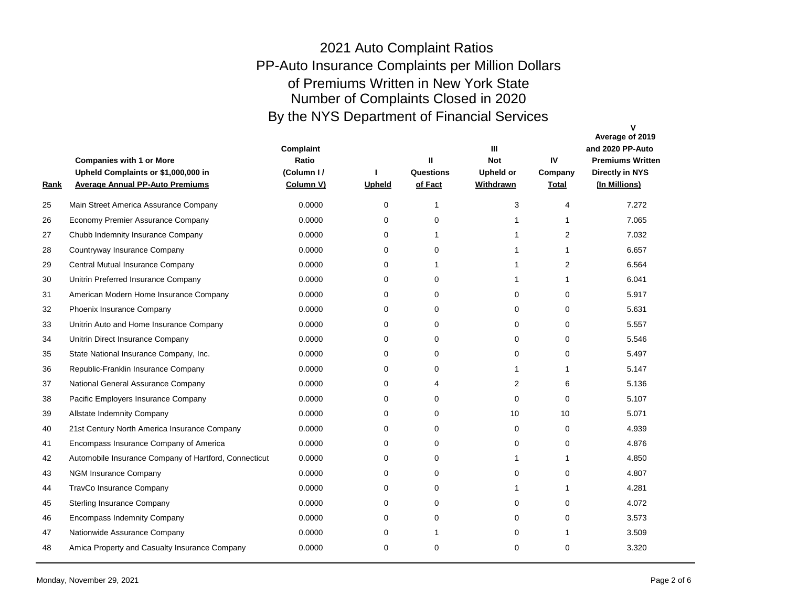| <u>Rank</u> | <b>Companies with 1 or More</b><br>Upheld Complaints or \$1,000,000 in<br><b>Average Annual PP-Auto Premiums</b> | Complaint<br>Ratio<br>(Column I/<br>Column V) | <b>Upheld</b> | Ш<br>Questions<br>of Fact | $\mathbf{m}$<br><b>Not</b><br><b>Upheld or</b><br>Withdrawn | IV<br>Company<br><b>Total</b> | v<br>Average of 2019<br>and 2020 PP-Auto<br><b>Premiums Written</b><br><b>Directly in NYS</b><br>(In Millions) |
|-------------|------------------------------------------------------------------------------------------------------------------|-----------------------------------------------|---------------|---------------------------|-------------------------------------------------------------|-------------------------------|----------------------------------------------------------------------------------------------------------------|
| 25          | Main Street America Assurance Company                                                                            | 0.0000                                        | $\Omega$      | $\mathbf 1$               | 3                                                           | 4                             | 7.272                                                                                                          |
| 26          | Economy Premier Assurance Company                                                                                | 0.0000                                        | $\Omega$      | $\Omega$                  | 1                                                           | $\mathbf{1}$                  | 7.065                                                                                                          |
| 27          | Chubb Indemnity Insurance Company                                                                                | 0.0000                                        | $\Omega$      | $\mathbf 1$               | 1                                                           | 2                             | 7.032                                                                                                          |
| 28          | Countryway Insurance Company                                                                                     | 0.0000                                        | 0             | $\mathbf 0$               | 1                                                           | $\mathbf{1}$                  | 6.657                                                                                                          |
| 29          | Central Mutual Insurance Company                                                                                 | 0.0000                                        | $\Omega$      | $\mathbf 1$               | 1                                                           | $\overline{2}$                | 6.564                                                                                                          |
| 30          | Unitrin Preferred Insurance Company                                                                              | 0.0000                                        | $\mathbf 0$   | $\mathbf 0$               | 1                                                           | $\mathbf{1}$                  | 6.041                                                                                                          |
| 31          | American Modern Home Insurance Company                                                                           | 0.0000                                        | $\mathbf 0$   | $\Omega$                  | 0                                                           | $\mathbf 0$                   | 5.917                                                                                                          |
| 32          | Phoenix Insurance Company                                                                                        | 0.0000                                        | 0             | $\mathbf 0$               | 0                                                           | $\mathbf 0$                   | 5.631                                                                                                          |
| 33          | Unitrin Auto and Home Insurance Company                                                                          | 0.0000                                        | $\mathbf 0$   | $\Omega$                  | 0                                                           | $\mathbf 0$                   | 5.557                                                                                                          |
| 34          | Unitrin Direct Insurance Company                                                                                 | 0.0000                                        | 0             | $\mathbf 0$               | 0                                                           | $\mathbf 0$                   | 5.546                                                                                                          |
| 35          | State National Insurance Company, Inc.                                                                           | 0.0000                                        | $\mathbf 0$   | $\mathbf 0$               | 0                                                           | $\mathbf 0$                   | 5.497                                                                                                          |
| 36          | Republic-Franklin Insurance Company                                                                              | 0.0000                                        | 0             | $\mathbf 0$               | 1                                                           | $\mathbf{1}$                  | 5.147                                                                                                          |
| 37          | National General Assurance Company                                                                               | 0.0000                                        | 0             | 4                         | 2                                                           | 6                             | 5.136                                                                                                          |
| 38          | Pacific Employers Insurance Company                                                                              | 0.0000                                        | 0             | 0                         | 0                                                           | $\mathbf 0$                   | 5.107                                                                                                          |
| 39          | <b>Allstate Indemnity Company</b>                                                                                | 0.0000                                        | $\Omega$      | $\Omega$                  | 10                                                          | 10                            | 5.071                                                                                                          |
| 40          | 21st Century North America Insurance Company                                                                     | 0.0000                                        | $\Omega$      | $\Omega$                  | $\Omega$                                                    | $\Omega$                      | 4.939                                                                                                          |
| 41          | Encompass Insurance Company of America                                                                           | 0.0000                                        | $\Omega$      | $\Omega$                  | $\Omega$                                                    | $\Omega$                      | 4.876                                                                                                          |
| 42          | Automobile Insurance Company of Hartford, Connecticut                                                            | 0.0000                                        | 0             | $\Omega$                  | 1                                                           | $\mathbf{1}$                  | 4.850                                                                                                          |
| 43          | <b>NGM Insurance Company</b>                                                                                     | 0.0000                                        | $\Omega$      | $\Omega$                  | 0                                                           | $\Omega$                      | 4.807                                                                                                          |
| 44          | TravCo Insurance Company                                                                                         | 0.0000                                        | 0             | 0                         | 1                                                           | 1                             | 4.281                                                                                                          |
| 45          | <b>Sterling Insurance Company</b>                                                                                | 0.0000                                        | $\Omega$      | $\Omega$                  | 0                                                           | $\Omega$                      | 4.072                                                                                                          |
| 46          | <b>Encompass Indemnity Company</b>                                                                               | 0.0000                                        | $\mathbf 0$   | $\mathbf 0$               | 0                                                           | $\mathbf 0$                   | 3.573                                                                                                          |
| 47          | Nationwide Assurance Company                                                                                     | 0.0000                                        | $\mathbf 0$   | $\mathbf{1}$              | $\Omega$                                                    | $\mathbf{1}$                  | 3.509                                                                                                          |
| 48          | Amica Property and Casualty Insurance Company                                                                    | 0.0000                                        | $\Omega$      | $\Omega$                  | $\Omega$                                                    | $\Omega$                      | 3.320                                                                                                          |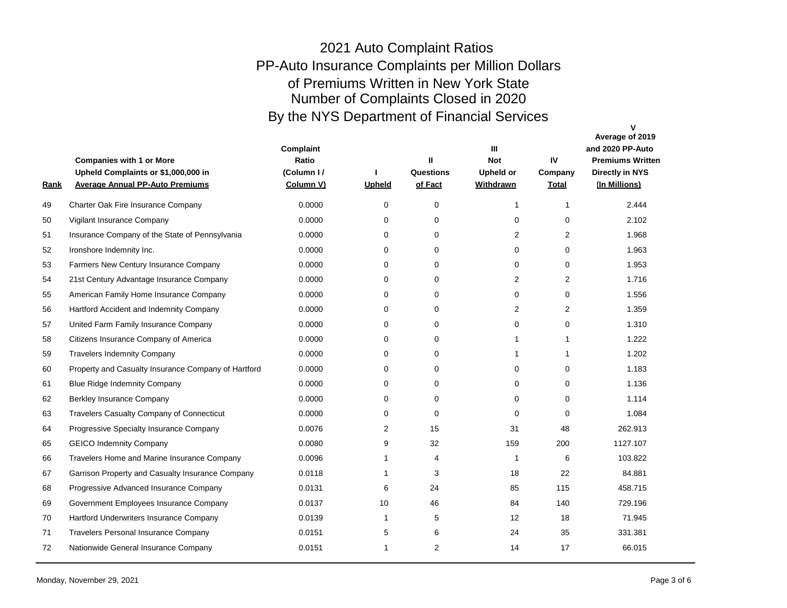| <u>Rank</u> | <b>Companies with 1 or More</b><br>Upheld Complaints or \$1,000,000 in<br><b>Average Annual PP-Auto Premiums</b> | Complaint<br>Ratio<br>(Column I/<br>Column V) | Upheld       | Ш<br>Questions<br>of Fact | $\mathbf{m}$<br><b>Not</b><br><b>Upheld or</b><br><b>Withdrawn</b> | IV<br>Company<br><b>Total</b> | $\mathbf v$<br>Average of 2019<br>and 2020 PP-Auto<br><b>Premiums Written</b><br><b>Directly in NYS</b><br>(In Millions) |
|-------------|------------------------------------------------------------------------------------------------------------------|-----------------------------------------------|--------------|---------------------------|--------------------------------------------------------------------|-------------------------------|--------------------------------------------------------------------------------------------------------------------------|
| 49          | Charter Oak Fire Insurance Company                                                                               | 0.0000                                        | $\Omega$     | $\Omega$                  | $\mathbf{1}$                                                       | $\mathbf{1}$                  | 2.444                                                                                                                    |
| 50          | Vigilant Insurance Company                                                                                       | 0.0000                                        | $\Omega$     | $\Omega$                  | 0                                                                  | $\Omega$                      | 2.102                                                                                                                    |
| 51          | Insurance Company of the State of Pennsylvania                                                                   | 0.0000                                        | $\Omega$     | $\Omega$                  | 2                                                                  | $\overline{2}$                | 1.968                                                                                                                    |
| 52          | Ironshore Indemnity Inc.                                                                                         | 0.0000                                        | $\Omega$     | $\Omega$                  | $\mathbf 0$                                                        | $\mathbf 0$                   | 1.963                                                                                                                    |
| 53          | Farmers New Century Insurance Company                                                                            | 0.0000                                        | $\Omega$     | $\Omega$                  | $\mathbf 0$                                                        | $\Omega$                      | 1.953                                                                                                                    |
| 54          | 21st Century Advantage Insurance Company                                                                         | 0.0000                                        | $\mathbf 0$  | $\mathbf 0$               | 2                                                                  | 2                             | 1.716                                                                                                                    |
| 55          | American Family Home Insurance Company                                                                           | 0.0000                                        | $\mathbf 0$  | $\Omega$                  | $\mathbf 0$                                                        | $\Omega$                      | 1.556                                                                                                                    |
| 56          | Hartford Accident and Indemnity Company                                                                          | 0.0000                                        | $\mathbf 0$  | $\mathbf 0$               | 2                                                                  | $\overline{2}$                | 1.359                                                                                                                    |
| 57          | United Farm Family Insurance Company                                                                             | 0.0000                                        | 0            | $\mathbf 0$               | $\mathbf 0$                                                        | $\mathbf 0$                   | 1.310                                                                                                                    |
| 58          | Citizens Insurance Company of America                                                                            | 0.0000                                        | $\Omega$     | $\Omega$                  | $\mathbf{1}$                                                       | $\mathbf{1}$                  | 1.222                                                                                                                    |
| 59          | <b>Travelers Indemnity Company</b>                                                                               | 0.0000                                        | $\mathbf 0$  | $\mathbf 0$               | $\mathbf{1}$                                                       | $\mathbf{1}$                  | 1.202                                                                                                                    |
| 60          | Property and Casualty Insurance Company of Hartford                                                              | 0.0000                                        | 0            | 0                         | $\mathbf 0$                                                        | $\mathbf 0$                   | 1.183                                                                                                                    |
| 61          | <b>Blue Ridge Indemnity Company</b>                                                                              | 0.0000                                        | 0            | 0                         | $\mathbf 0$                                                        | 0                             | 1.136                                                                                                                    |
| 62          | Berkley Insurance Company                                                                                        | 0.0000                                        | 0            | $\Omega$                  | 0                                                                  | 0                             | 1.114                                                                                                                    |
| 63          | <b>Travelers Casualty Company of Connecticut</b>                                                                 | 0.0000                                        | $\Omega$     | $\Omega$                  | $\Omega$                                                           | $\Omega$                      | 1.084                                                                                                                    |
| 64          | Progressive Specialty Insurance Company                                                                          | 0.0076                                        | 2            | 15                        | 31                                                                 | 48                            | 262.913                                                                                                                  |
| 65          | <b>GEICO Indemnity Company</b>                                                                                   | 0.0080                                        | 9            | 32                        | 159                                                                | 200                           | 1127.107                                                                                                                 |
| 66          | Travelers Home and Marine Insurance Company                                                                      | 0.0096                                        | -1           | 4                         | $\mathbf 1$                                                        | 6                             | 103.822                                                                                                                  |
| 67          | Garrison Property and Casualty Insurance Company                                                                 | 0.0118                                        | 1            | 3                         | 18                                                                 | 22                            | 84.881                                                                                                                   |
| 68          | Progressive Advanced Insurance Company                                                                           | 0.0131                                        | 6            | 24                        | 85                                                                 | 115                           | 458.715                                                                                                                  |
| 69          | Government Employees Insurance Company                                                                           | 0.0137                                        | 10           | 46                        | 84                                                                 | 140                           | 729.196                                                                                                                  |
| 70          | Hartford Underwriters Insurance Company                                                                          | 0.0139                                        | $\mathbf{1}$ | 5                         | 12                                                                 | 18                            | 71.945                                                                                                                   |
| 71          | Travelers Personal Insurance Company                                                                             | 0.0151                                        | 5            | 6                         | 24                                                                 | 35                            | 331.381                                                                                                                  |
| 72          | Nationwide General Insurance Company                                                                             | 0.0151                                        | 1            | $\overline{2}$            | 14                                                                 | 17                            | 66.015                                                                                                                   |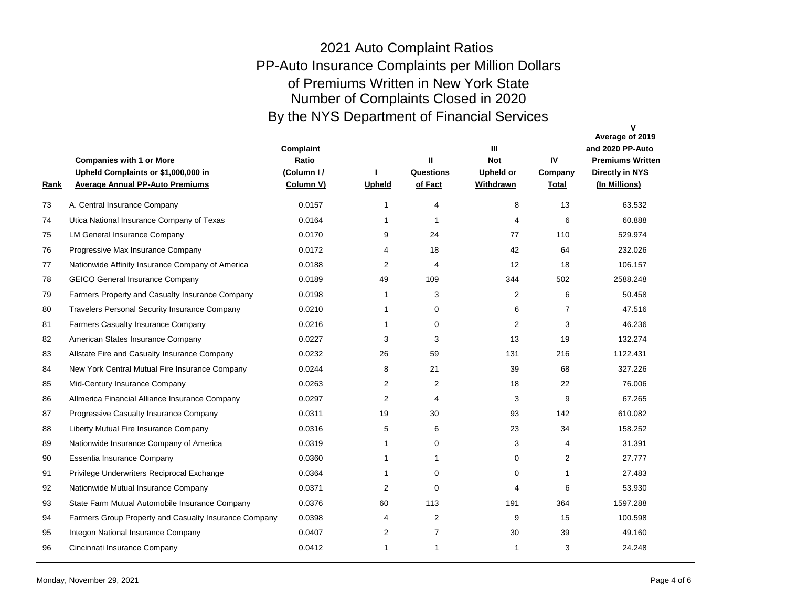| <u>Rank</u> | <b>Companies with 1 or More</b><br>Upheld Complaints or \$1,000,000 in<br><b>Average Annual PP-Auto Premiums</b> | Complaint<br>Ratio<br>(Column I/<br>Column V) | <b>Upheld</b>  | $\mathbf{H}$<br>Questions<br>of Fact | $\mathbf{m}$<br><b>Not</b><br><b>Upheld or</b><br><b>Withdrawn</b> | IV<br>Company<br><b>Total</b> | Average of 2019<br>and 2020 PP-Auto<br><b>Premiums Written</b><br><b>Directly in NYS</b><br>(In Millions) |
|-------------|------------------------------------------------------------------------------------------------------------------|-----------------------------------------------|----------------|--------------------------------------|--------------------------------------------------------------------|-------------------------------|-----------------------------------------------------------------------------------------------------------|
| 73          | A. Central Insurance Company                                                                                     | 0.0157                                        | 1              | 4                                    | 8                                                                  | 13                            | 63.532                                                                                                    |
| 74          | Utica National Insurance Company of Texas                                                                        | 0.0164                                        | 1              | -1                                   | 4                                                                  | 6                             | 60.888                                                                                                    |
| 75          | <b>LM General Insurance Company</b>                                                                              | 0.0170                                        | 9              | 24                                   | 77                                                                 | 110                           | 529.974                                                                                                   |
| 76          | Progressive Max Insurance Company                                                                                | 0.0172                                        | 4              | 18                                   | 42                                                                 | 64                            | 232.026                                                                                                   |
| 77          | Nationwide Affinity Insurance Company of America                                                                 | 0.0188                                        | 2              | 4                                    | 12                                                                 | 18                            | 106.157                                                                                                   |
| 78          | <b>GEICO General Insurance Company</b>                                                                           | 0.0189                                        | 49             | 109                                  | 344                                                                | 502                           | 2588.248                                                                                                  |
| 79          | Farmers Property and Casualty Insurance Company                                                                  | 0.0198                                        | $\mathbf{1}$   | 3                                    | 2                                                                  | 6                             | 50.458                                                                                                    |
| 80          | <b>Travelers Personal Security Insurance Company</b>                                                             | 0.0210                                        | 1              | 0                                    | 6                                                                  | 7                             | 47.516                                                                                                    |
| 81          | <b>Farmers Casualty Insurance Company</b>                                                                        | 0.0216                                        | 1              | 0                                    | $\overline{2}$                                                     | 3                             | 46.236                                                                                                    |
| 82          | American States Insurance Company                                                                                | 0.0227                                        | 3              | 3                                    | 13                                                                 | 19                            | 132.274                                                                                                   |
| 83          | Allstate Fire and Casualty Insurance Company                                                                     | 0.0232                                        | 26             | 59                                   | 131                                                                | 216                           | 1122.431                                                                                                  |
| 84          | New York Central Mutual Fire Insurance Company                                                                   | 0.0244                                        | 8              | 21                                   | 39                                                                 | 68                            | 327.226                                                                                                   |
| 85          | Mid-Century Insurance Company                                                                                    | 0.0263                                        | 2              | 2                                    | 18                                                                 | 22                            | 76.006                                                                                                    |
| 86          | Allmerica Financial Alliance Insurance Company                                                                   | 0.0297                                        | 2              | $\overline{4}$                       | 3                                                                  | 9                             | 67.265                                                                                                    |
| 87          | Progressive Casualty Insurance Company                                                                           | 0.0311                                        | 19             | 30                                   | 93                                                                 | 142                           | 610.082                                                                                                   |
| 88          | Liberty Mutual Fire Insurance Company                                                                            | 0.0316                                        | 5              | 6                                    | 23                                                                 | 34                            | 158.252                                                                                                   |
| 89          | Nationwide Insurance Company of America                                                                          | 0.0319                                        | 1              | $\mathbf 0$                          | 3                                                                  | 4                             | 31.391                                                                                                    |
| 90          | Essentia Insurance Company                                                                                       | 0.0360                                        | $\mathbf{1}$   | 1                                    | $\mathbf 0$                                                        | 2                             | 27.777                                                                                                    |
| 91          | Privilege Underwriters Reciprocal Exchange                                                                       | 0.0364                                        | $\mathbf{1}$   | $\Omega$                             | 0                                                                  | $\mathbf{1}$                  | 27.483                                                                                                    |
| 92          | Nationwide Mutual Insurance Company                                                                              | 0.0371                                        | $\overline{2}$ | $\Omega$                             | 4                                                                  | 6                             | 53.930                                                                                                    |
| 93          | State Farm Mutual Automobile Insurance Company                                                                   | 0.0376                                        | 60             | 113                                  | 191                                                                | 364                           | 1597.288                                                                                                  |
| 94          | Farmers Group Property and Casualty Insurance Company                                                            | 0.0398                                        | 4              | 2                                    | 9                                                                  | 15                            | 100.598                                                                                                   |
| 95          | Integon National Insurance Company                                                                               | 0.0407                                        | $\overline{2}$ | $\overline{7}$                       | 30                                                                 | 39                            | 49.160                                                                                                    |
| 96          | Cincinnati Insurance Company                                                                                     | 0.0412                                        | 1              | $\mathbf{1}$                         | 1                                                                  | 3                             | 24.248                                                                                                    |
|             |                                                                                                                  |                                               |                |                                      |                                                                    |                               |                                                                                                           |

**V**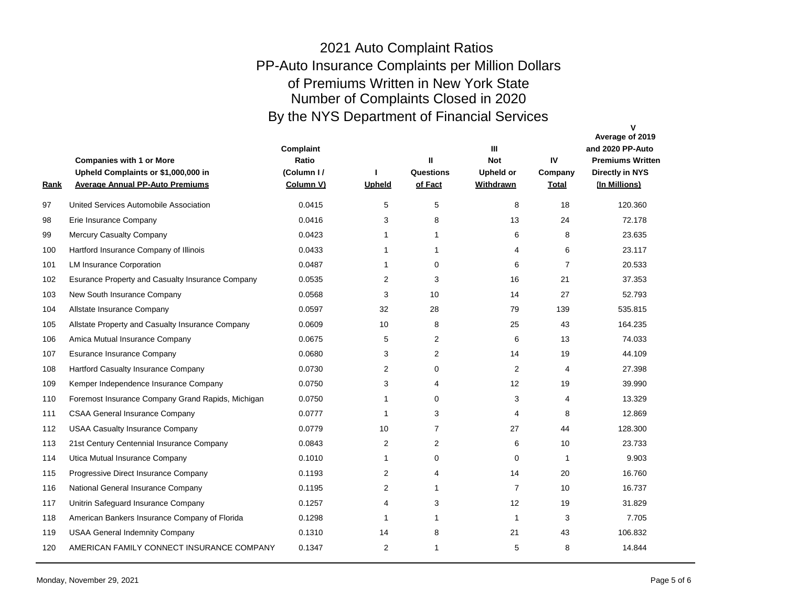|                                                   |                                        | <b>Upheld</b>  | Questions<br>of Fact | <b>Upheld or</b><br><b>Withdrawn</b> | Company<br><b>Total</b> | <b>Directly in NYS</b><br>(In Millions) |
|---------------------------------------------------|----------------------------------------|----------------|----------------------|--------------------------------------|-------------------------|-----------------------------------------|
|                                                   | 0.0415                                 | 5              | 5                    | 8                                    | 18                      | 120.360                                 |
| Erie Insurance Company                            | 0.0416                                 | 3              | 8                    | 13                                   | 24                      | 72.178                                  |
| Mercury Casualty Company                          | 0.0423                                 | 1              | $\mathbf{1}$         | 6                                    | 8                       | 23.635                                  |
| Hartford Insurance Company of Illinois            | 0.0433                                 | 1              | $\mathbf{1}$         | 4                                    | 6                       | 23.117                                  |
| <b>LM Insurance Corporation</b>                   | 0.0487                                 | 1              | $\Omega$             | 6                                    | $\overline{7}$          | 20.533                                  |
| Esurance Property and Casualty Insurance Company  | 0.0535                                 | $\overline{2}$ | 3                    | 16                                   | 21                      | 37.353                                  |
| New South Insurance Company                       | 0.0568                                 | 3              | 10 <sup>1</sup>      | 14                                   | 27                      | 52.793                                  |
| Allstate Insurance Company                        | 0.0597                                 | 32             | 28                   | 79                                   | 139                     | 535.815                                 |
| Allstate Property and Casualty Insurance Company  | 0.0609                                 | 10             | 8                    | 25                                   | 43                      | 164.235                                 |
| Amica Mutual Insurance Company                    | 0.0675                                 | 5              | 2                    | 6                                    | 13                      | 74.033                                  |
| <b>Esurance Insurance Company</b>                 | 0.0680                                 | 3              | 2                    | 14                                   | 19                      | 44.109                                  |
| Hartford Casualty Insurance Company               | 0.0730                                 | $\overline{2}$ | $\Omega$             | 2                                    | 4                       | 27.398                                  |
| Kemper Independence Insurance Company             | 0.0750                                 | 3              | 4                    | 12                                   | 19                      | 39.990                                  |
| Foremost Insurance Company Grand Rapids, Michigan | 0.0750                                 | 1              | $\mathbf 0$          | 3                                    | 4                       | 13.329                                  |
| <b>CSAA General Insurance Company</b>             | 0.0777                                 | 1              | 3                    | 4                                    | 8                       | 12.869                                  |
| <b>USAA Casualty Insurance Company</b>            | 0.0779                                 | 10             | $\overline{7}$       | 27                                   | 44                      | 128.300                                 |
| 21st Century Centennial Insurance Company         | 0.0843                                 | 2              | 2                    | 6                                    | 10                      | 23.733                                  |
| Utica Mutual Insurance Company                    | 0.1010                                 | 1              | $\Omega$             | $\mathbf 0$                          | $\mathbf{1}$            | 9.903                                   |
| Progressive Direct Insurance Company              | 0.1193                                 | $\overline{2}$ | 4                    | 14                                   | 20                      | 16.760                                  |
| National General Insurance Company                | 0.1195                                 | 2              | $\mathbf{1}$         | $\overline{7}$                       | 10                      | 16.737                                  |
| Unitrin Safeguard Insurance Company               | 0.1257                                 | 4              | 3                    | 12 <sup>2</sup>                      | 19                      | 31.829                                  |
| American Bankers Insurance Company of Florida     | 0.1298                                 | 1              | 1                    | $\mathbf{1}$                         | 3                       | 7.705                                   |
| <b>USAA General Indemnity Company</b>             | 0.1310                                 | 14             | 8                    | 21                                   | 43                      | 106.832                                 |
| AMERICAN FAMILY CONNECT INSURANCE COMPANY         | 0.1347                                 | $\overline{2}$ | 1                    | 5                                    | 8                       | 14.844                                  |
|                                                   | United Services Automobile Association |                |                      |                                      |                         |                                         |

**V**